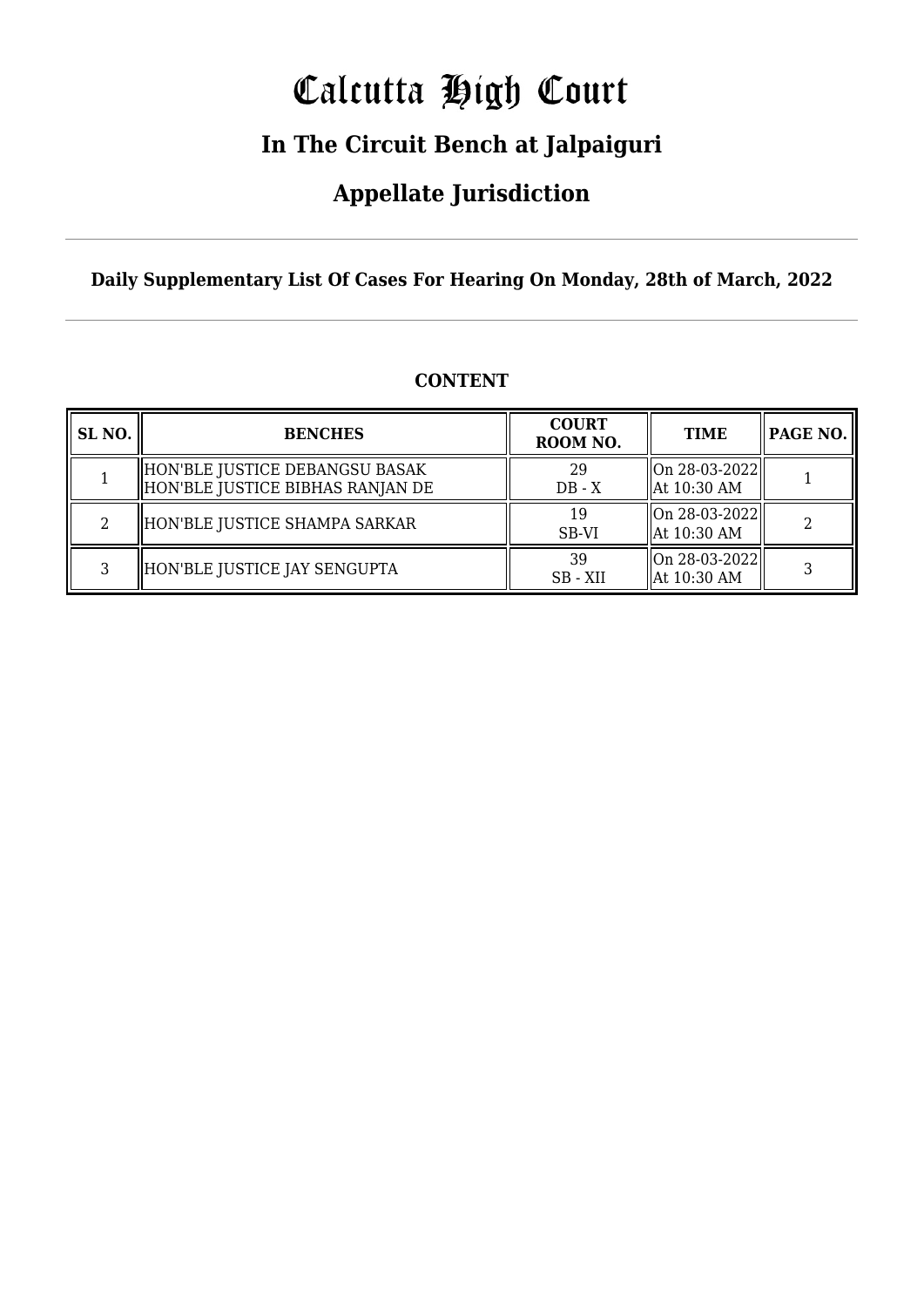# Calcutta High Court

### **In The Circuit Bench at Jalpaiguri**

### **Appellate Jurisdiction**

**Daily Supplementary List Of Cases For Hearing On Monday, 28th of March, 2022**

| SL <sub>NO.</sub> | <b>BENCHES</b>                                                     | <b>COURT</b><br>ROOM NO. | <b>TIME</b>                      | PAGE NO. |
|-------------------|--------------------------------------------------------------------|--------------------------|----------------------------------|----------|
|                   | HON'BLE JUSTICE DEBANGSU BASAK<br>HON'BLE JUSTICE BIBHAS RANJAN DE | 29<br>$DB - X$           | On 28-03-2022  <br>  At 10:30 AM |          |
| 2                 | HON'BLE JUSTICE SHAMPA SARKAR                                      | 19<br>SB-VI              | On 28-03-2022  <br>  At 10:30 AM |          |
| 3                 | HON'BLE JUSTICE JAY SENGUPTA                                       | 39<br>SB-XII             | On 28-03-2022<br>At 10:30 AM     |          |

#### **CONTENT**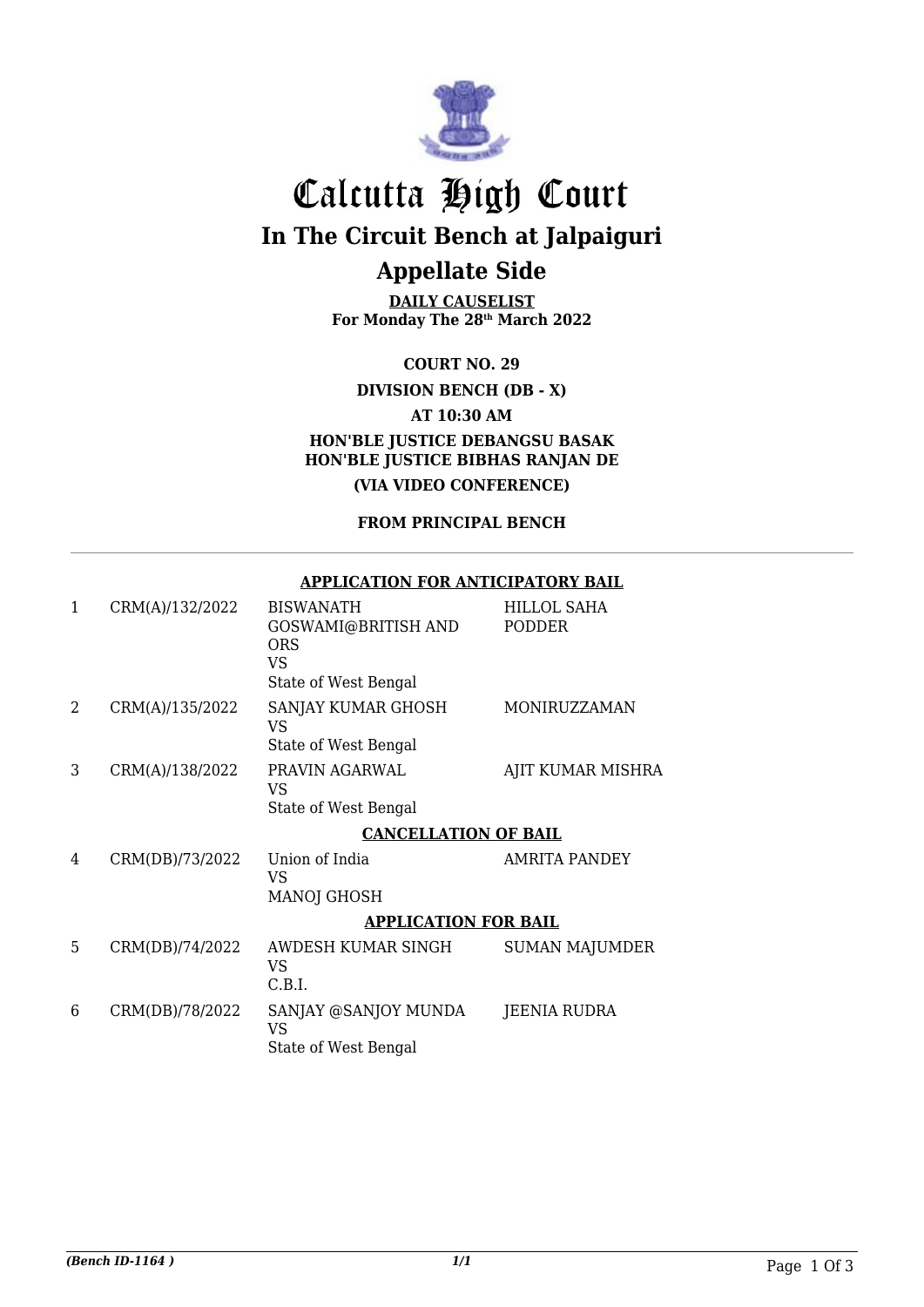

## Calcutta High Court **In The Circuit Bench at Jalpaiguri Appellate Side**

**DAILY CAUSELIST For Monday The 28th March 2022**

**COURT NO. 29**

**DIVISION BENCH (DB - X)**

**AT 10:30 AM**

**HON'BLE JUSTICE DEBANGSU BASAK HON'BLE JUSTICE BIBHAS RANJAN DE (VIA VIDEO CONFERENCE)**

**FROM PRINCIPAL BENCH**

| 1 | CRM(A)/132/2022 | <b>BISWANATH</b><br>GOSWAMI@BRITISH AND<br><b>ORS</b><br>VS<br>State of West Bengal | HILLOL SAHA<br>PODDER |  |
|---|-----------------|-------------------------------------------------------------------------------------|-----------------------|--|
| 2 | CRM(A)/135/2022 | SANJAY KUMAR GHOSH<br>VS<br>State of West Bengal                                    | MONIRUZZAMAN          |  |
| 3 | CRM(A)/138/2022 | PRAVIN AGARWAL<br>VS<br>State of West Bengal                                        | AJIT KUMAR MISHRA     |  |
|   |                 | <b>CANCELLATION OF BAIL</b>                                                         |                       |  |
| 4 | CRM(DB)/73/2022 | Union of India<br>VS<br><b>MANOJ GHOSH</b>                                          | AMRITA PANDEY         |  |
|   |                 | <b>APPLICATION FOR BAIL</b>                                                         |                       |  |
| 5 | CRM(DB)/74/2022 | AWDESH KUMAR SINGH<br>VS<br>C.B.I.                                                  | <b>SUMAN MAJUMDER</b> |  |
| 6 | CRM(DB)/78/2022 | SANJAY @SANJOY MUNDA<br>VS<br>State of West Bengal                                  | JEENIA RUDRA          |  |

#### **APPLICATION FOR ANTICIPATORY BAIL**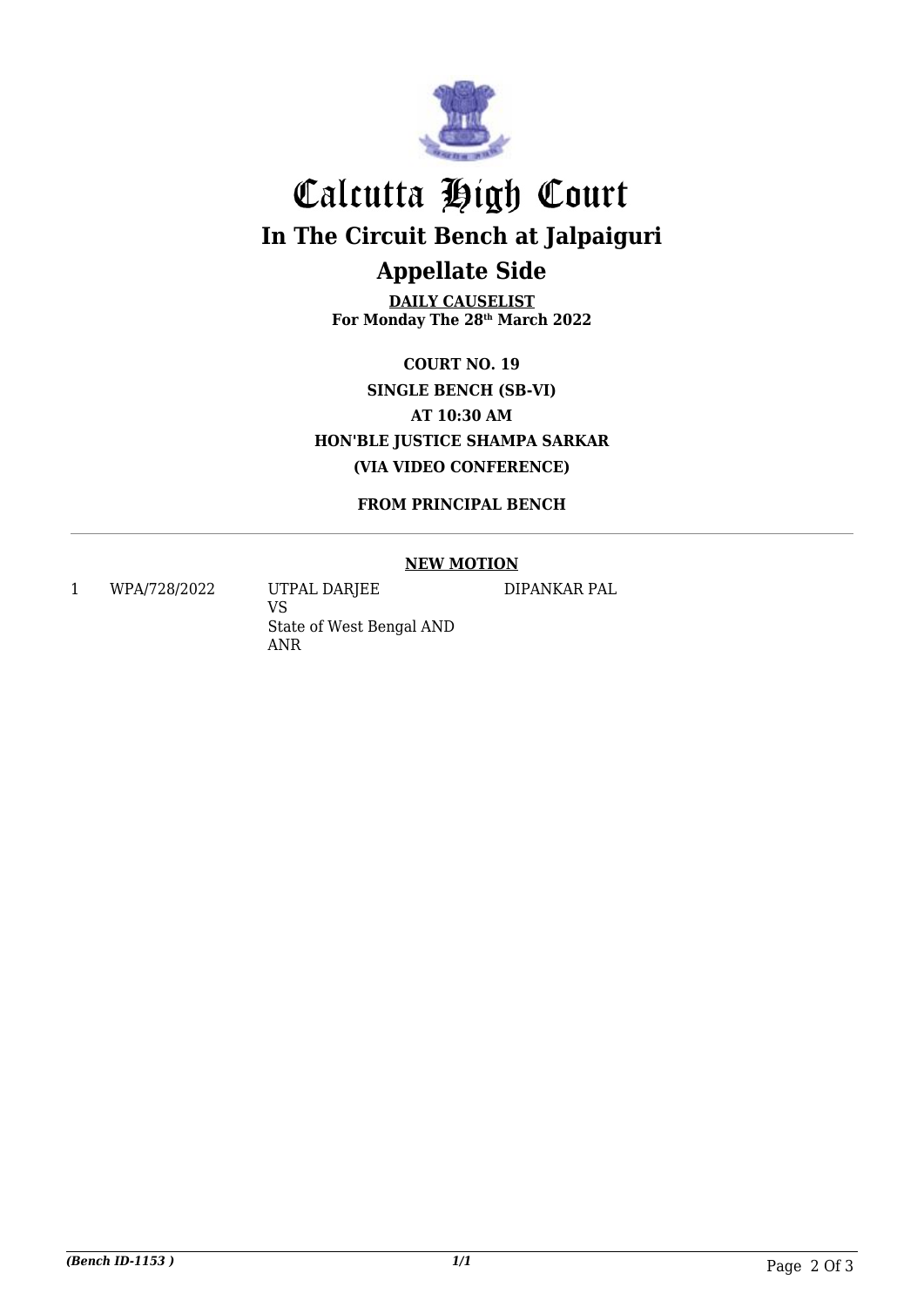

## Calcutta High Court **In The Circuit Bench at Jalpaiguri Appellate Side**

**DAILY CAUSELIST For Monday The 28th March 2022**

**COURT NO. 19 SINGLE BENCH (SB-VI) AT 10:30 AM HON'BLE JUSTICE SHAMPA SARKAR (VIA VIDEO CONFERENCE)**

**FROM PRINCIPAL BENCH**

#### **NEW MOTION**

1 WPA/728/2022 UTPAL DARJEE

VS State of West Bengal AND ANR

DIPANKAR PAL